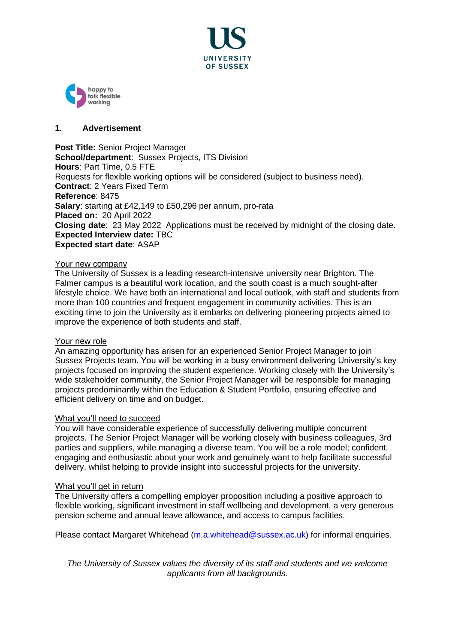



## **1. Advertisement**

**Post Title:** Senior Project Manager **School/department: Sussex Projects, ITS Division Hours**: Part Time, 0.5 FTE Requests for [flexible working](http://www.sussex.ac.uk/humanresources/personnel/flexible-working) options will be considered (subject to business need). **Contract**: 2 Years Fixed Term **Reference**: 8475 **Salary**: starting at £42,149 to £50,296 per annum, pro-rata **Placed on:** 20 April 2022 **Closing date**: 23 May 2022 Applications must be received by midnight of the closing date. **Expected Interview date:** TBC **Expected start date**: ASAP

#### Your new company

The University of Sussex is a leading research-intensive university near Brighton. The Falmer campus is a beautiful work location, and the south coast is a much sought-after lifestyle choice. We have both an international and local outlook, with staff and students from more than 100 countries and frequent engagement in community activities. This is an exciting time to join the University as it embarks on delivering pioneering projects aimed to improve the experience of both students and staff.

#### Your new role

An amazing opportunity has arisen for an experienced Senior Project Manager to join Sussex Projects team. You will be working in a busy environment delivering University's key projects focused on improving the student experience. Working closely with the University's wide stakeholder community, the Senior Project Manager will be responsible for managing projects predominantly within the Education & Student Portfolio, ensuring effective and efficient delivery on time and on budget.

#### What you'll need to succeed

You will have considerable experience of successfully delivering multiple concurrent projects. The Senior Project Manager will be working closely with business colleagues, 3rd parties and suppliers, while managing a diverse team. You will be a role model; confident, engaging and enthusiastic about your work and genuinely want to help facilitate successful delivery, whilst helping to provide insight into successful projects for the university.

#### What you'll get in return

The University offers a compelling employer proposition including a positive approach to flexible working, significant investment in staff wellbeing and development, a very generous pension scheme and annual leave allowance, and access to campus facilities.

Please contact Margaret Whitehead [\(m.a.whitehead@sussex.ac.uk\)](mailto:m.a.whitehead@sussex.ac.uk) for informal enquiries.

*The University of Sussex values the diversity of its staff and students and we welcome applicants from all backgrounds.*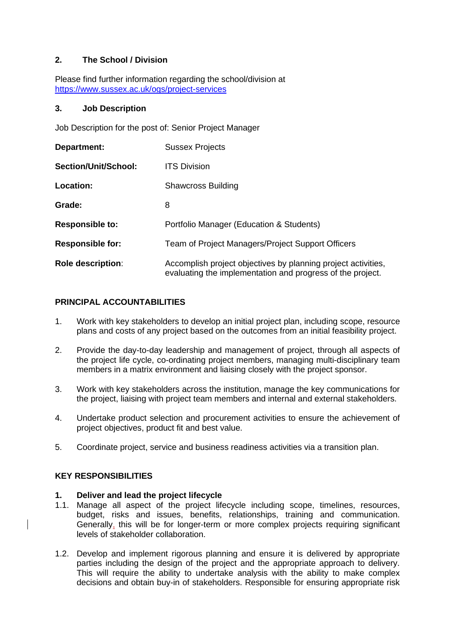# **2. The School / Division**

Please find further information regarding the school/division at <https://www.sussex.ac.uk/ogs/project-services>

### **3. Job Description**

Job Description for the post of: Senior Project Manager

| Department:              | <b>Sussex Projects</b>                                                                                                      |  |
|--------------------------|-----------------------------------------------------------------------------------------------------------------------------|--|
| Section/Unit/School:     | <b>ITS Division</b>                                                                                                         |  |
| Location:                | <b>Shawcross Building</b>                                                                                                   |  |
| Grade:                   | 8                                                                                                                           |  |
| <b>Responsible to:</b>   | Portfolio Manager (Education & Students)                                                                                    |  |
| <b>Responsible for:</b>  | Team of Project Managers/Project Support Officers                                                                           |  |
| <b>Role description:</b> | Accomplish project objectives by planning project activities,<br>evaluating the implementation and progress of the project. |  |

# **PRINCIPAL ACCOUNTABILITIES**

- 1. Work with key stakeholders to develop an initial project plan, including scope, resource plans and costs of any project based on the outcomes from an initial feasibility project.
- 2. Provide the day-to-day leadership and management of project, through all aspects of the project life cycle, co-ordinating project members, managing multi-disciplinary team members in a matrix environment and liaising closely with the project sponsor.
- 3. Work with key stakeholders across the institution, manage the key communications for the project, liaising with project team members and internal and external stakeholders.
- 4. Undertake product selection and procurement activities to ensure the achievement of project objectives, product fit and best value.
- 5. Coordinate project, service and business readiness activities via a transition plan.

## **KEY RESPONSIBILITIES**

## **1. Deliver and lead the project lifecycle**

- 1.1. Manage all aspect of the project lifecycle including scope, timelines, resources, budget, risks and issues, benefits, relationships, training and communication. Generally, this will be for longer-term or more complex projects requiring significant levels of stakeholder collaboration.
- 1.2. Develop and implement rigorous planning and ensure it is delivered by appropriate parties including the design of the project and the appropriate approach to delivery. This will require the ability to undertake analysis with the ability to make complex decisions and obtain buy-in of stakeholders. Responsible for ensuring appropriate risk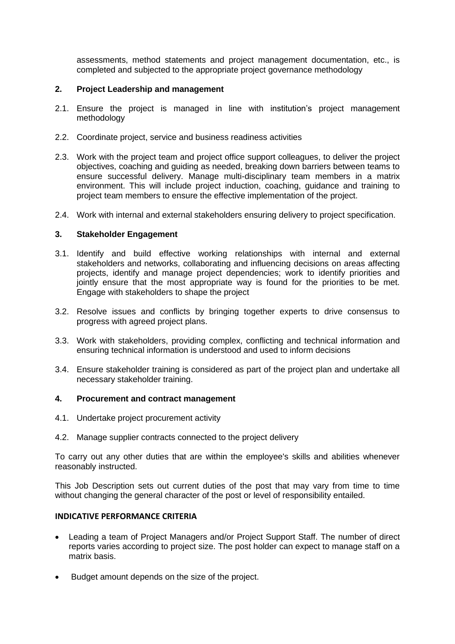assessments, method statements and project management documentation, etc., is completed and subjected to the appropriate project governance methodology

## **2. Project Leadership and management**

- 2.1. Ensure the project is managed in line with institution's project management methodology
- 2.2. Coordinate project, service and business readiness activities
- 2.3. Work with the project team and project office support colleagues, to deliver the project objectives, coaching and guiding as needed, breaking down barriers between teams to ensure successful delivery. Manage multi-disciplinary team members in a matrix environment. This will include project induction, coaching, guidance and training to project team members to ensure the effective implementation of the project.
- 2.4. Work with internal and external stakeholders ensuring delivery to project specification.

### **3. Stakeholder Engagement**

- 3.1. Identify and build effective working relationships with internal and external stakeholders and networks, collaborating and influencing decisions on areas affecting projects, identify and manage project dependencies; work to identify priorities and jointly ensure that the most appropriate way is found for the priorities to be met. Engage with stakeholders to shape the project
- 3.2. Resolve issues and conflicts by bringing together experts to drive consensus to progress with agreed project plans.
- 3.3. Work with stakeholders, providing complex, conflicting and technical information and ensuring technical information is understood and used to inform decisions
- 3.4. Ensure stakeholder training is considered as part of the project plan and undertake all necessary stakeholder training.

### **4. Procurement and contract management**

- 4.1. Undertake project procurement activity
- 4.2. Manage supplier contracts connected to the project delivery

To carry out any other duties that are within the employee's skills and abilities whenever reasonably instructed.

This Job Description sets out current duties of the post that may vary from time to time without changing the general character of the post or level of responsibility entailed.

## **INDICATIVE PERFORMANCE CRITERIA**

- Leading a team of Project Managers and/or Project Support Staff. The number of direct reports varies according to project size. The post holder can expect to manage staff on a matrix basis.
- Budget amount depends on the size of the project.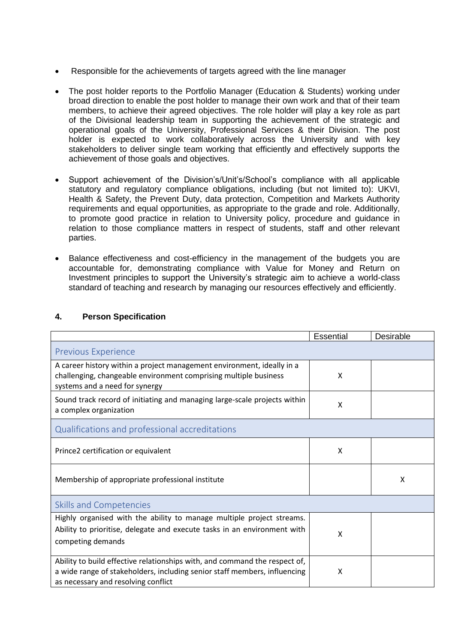- Responsible for the achievements of targets agreed with the line manager
- The post holder reports to the Portfolio Manager (Education & Students) working under broad direction to enable the post holder to manage their own work and that of their team members, to achieve their agreed objectives. The role holder will play a key role as part of the Divisional leadership team in supporting the achievement of the strategic and operational goals of the University, Professional Services & their Division. The post holder is expected to work collaboratively across the University and with key stakeholders to deliver single team working that efficiently and effectively supports the achievement of those goals and objectives.
- Support achievement of the Division's/Unit's/School's compliance with all applicable statutory and regulatory compliance obligations, including (but not limited to): UKVI, Health & Safety, the Prevent Duty, data protection, Competition and Markets Authority requirements and equal opportunities, as appropriate to the grade and role. Additionally, to promote good practice in relation to University policy, procedure and guidance in relation to those compliance matters in respect of students, staff and other relevant parties.
- Balance effectiveness and cost-efficiency in the management of the budgets you are accountable for, demonstrating compliance with Value for Money and Return on Investment principles to support the University's strategic aim to achieve a world-class standard of teaching and research by managing our resources effectively and efficiently.

|                                                                                                                                                                                                | <b>Essential</b> | Desirable |  |  |
|------------------------------------------------------------------------------------------------------------------------------------------------------------------------------------------------|------------------|-----------|--|--|
| <b>Previous Experience</b>                                                                                                                                                                     |                  |           |  |  |
| A career history within a project management environment, ideally in a<br>challenging, changeable environment comprising multiple business<br>systems and a need for synergy                   | X                |           |  |  |
| Sound track record of initiating and managing large-scale projects within<br>a complex organization                                                                                            | X                |           |  |  |
| Qualifications and professional accreditations                                                                                                                                                 |                  |           |  |  |
| Prince2 certification or equivalent                                                                                                                                                            | X                |           |  |  |
| Membership of appropriate professional institute                                                                                                                                               |                  | X         |  |  |
| <b>Skills and Competencies</b>                                                                                                                                                                 |                  |           |  |  |
| Highly organised with the ability to manage multiple project streams.<br>Ability to prioritise, delegate and execute tasks in an environment with<br>competing demands                         | X                |           |  |  |
| Ability to build effective relationships with, and command the respect of,<br>a wide range of stakeholders, including senior staff members, influencing<br>as necessary and resolving conflict | X                |           |  |  |

## **4. Person Specification**